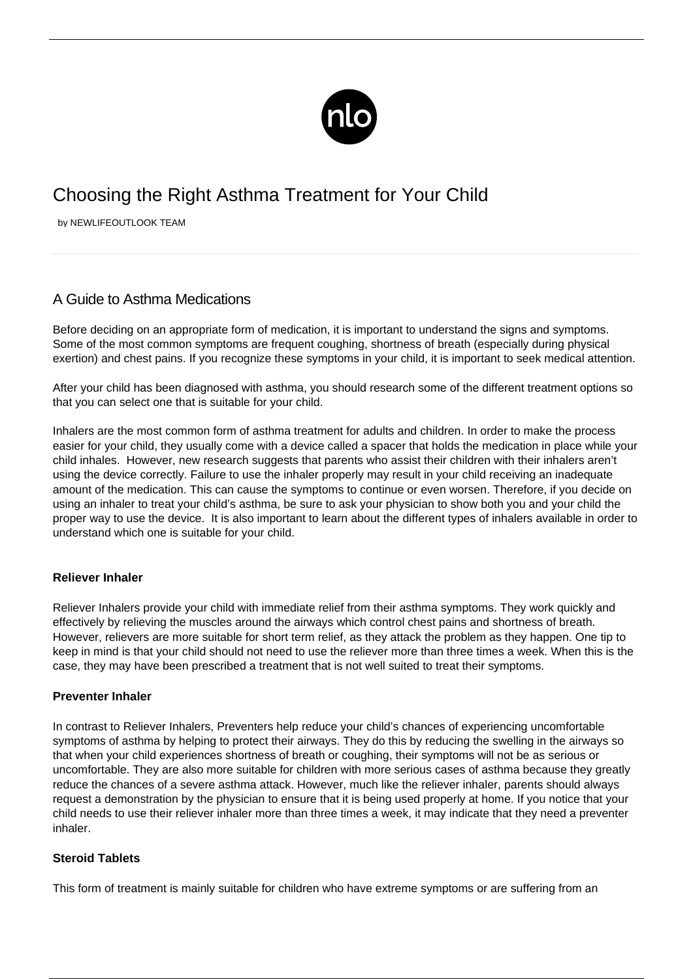

# Choosing the Right Asthma Treatment for Your Child

by NEWLIFEOUTLOOK TEAM

## A Guide to Asthma Medications

Before deciding on an appropriate form of medication, it is important to understand the signs and symptoms. Some of the most common symptoms are frequent coughing, shortness of breath (especially during physical exertion) and chest pains. If you recognize these symptoms in your child, it is important to seek medical attention.

After your child has been diagnosed with asthma, you should research some of the different treatment options so that you can select one that is suitable for your child.

Inhalers are the most common form of asthma treatment for adults and children. In order to make the process easier for your child, they usually come with a device called a spacer that holds the medication in place while your child inhales. However, new research suggests that parents who assist their children with their inhalers aren't using the device correctly. Failure to use the inhaler properly may result in your child receiving an inadequate amount of the medication. This can cause the symptoms to continue or even worsen. Therefore, if you decide on using an inhaler to treat your child's asthma, be sure to ask your physician to show both you and your child the proper way to use the device. It is also important to learn about the different types of inhalers available in order to understand which one is suitable for your child.

### **Reliever Inhaler**

Reliever Inhalers provide your child with immediate relief from their asthma symptoms. They work quickly and effectively by relieving the muscles around the airways which control chest pains and shortness of breath. However, relievers are more suitable for short term relief, as they attack the problem as they happen. One tip to keep in mind is that your child should not need to use the reliever more than three times a week. When this is the case, they may have been prescribed a treatment that is not well suited to treat their symptoms.

### **Preventer Inhaler**

In contrast to Reliever Inhalers, Preventers help reduce your child's chances of experiencing uncomfortable symptoms of asthma by helping to protect their airways. They do this by reducing the swelling in the airways so that when your child experiences shortness of breath or coughing, their symptoms will not be as serious or uncomfortable. They are also more suitable for children with more serious cases of asthma because they greatly reduce the chances of a severe asthma attack. However, much like the reliever inhaler, parents should always request a demonstration by the physician to ensure that it is being used properly at home. If you notice that your child needs to use their reliever inhaler more than three times a week, it may indicate that they need a preventer inhaler.

### **Steroid Tablets**

This form of treatment is mainly suitable for children who have extreme symptoms or are suffering from an